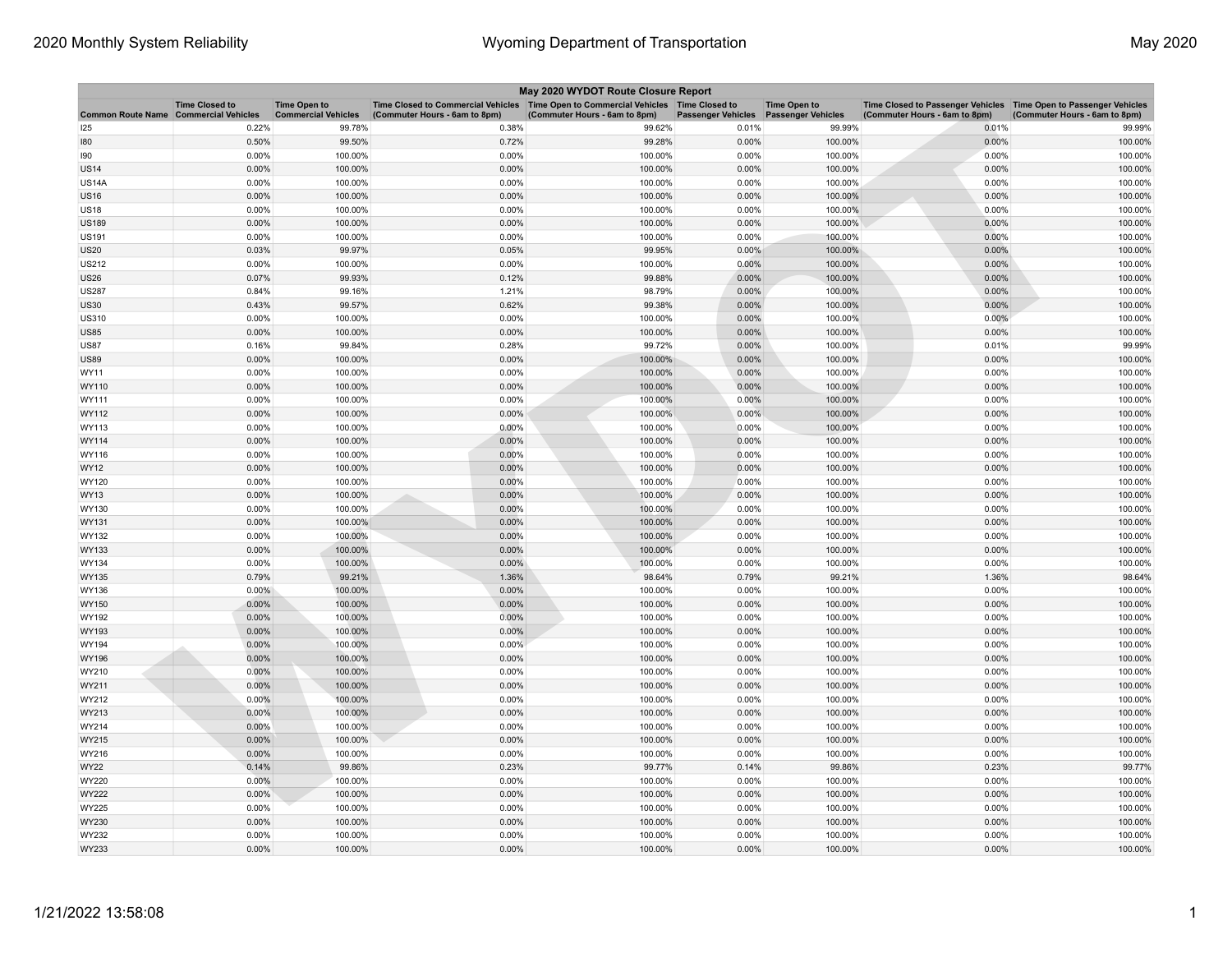| May 2020 WYDOT Route Closure Report |                                                     |                                                   |                                                                                                                         |                               |                           |                                                  |                                                                                                      |                               |  |
|-------------------------------------|-----------------------------------------------------|---------------------------------------------------|-------------------------------------------------------------------------------------------------------------------------|-------------------------------|---------------------------|--------------------------------------------------|------------------------------------------------------------------------------------------------------|-------------------------------|--|
| <b>Common Route Name</b>            | <b>Time Closed to</b><br><b>Commercial Vehicles</b> | <b>Time Open to</b><br><b>Commercial Vehicles</b> | Time Closed to Commercial Vehicles   Time Open to Commercial Vehicles   Time Closed to<br>(Commuter Hours - 6am to 8pm) | (Commuter Hours - 6am to 8pm) | <b>Passenger Vehicles</b> | <b>Time Open to</b><br><b>Passenger Vehicles</b> | Time Closed to Passenger Vehicles   Time Open to Passenger Vehicles<br>(Commuter Hours - 6am to 8pm) | (Commuter Hours - 6am to 8pm) |  |
| 125                                 | 0.22%                                               | 99.78%                                            | 0.38%                                                                                                                   | 99.62%                        | 0.01%                     | 99.99%                                           | 0.01%                                                                                                | 99.99%                        |  |
| 180                                 | 0.50%                                               | 99.50%                                            | 0.72%                                                                                                                   | 99.28%                        | 0.00%                     | 100.00%                                          | 0.00%                                                                                                | 100.00%                       |  |
| 190                                 | 0.00%                                               | 100.00%                                           | 0.00%                                                                                                                   | 100.00%                       | 0.00%                     | 100.00%                                          | 0.00%                                                                                                | 100.00%                       |  |
| <b>US14</b>                         | 0.00%                                               | 100.00%                                           | 0.00%                                                                                                                   | 100.00%                       | 0.00%                     | 100.00%                                          | 0.00%                                                                                                | 100.00%                       |  |
| US14A                               | 0.00%                                               | 100.00%                                           | 0.00%                                                                                                                   | 100.00%                       | 0.00%                     | 100.00%                                          | 0.00%                                                                                                | 100.00%                       |  |
| US16                                | 0.00%                                               | 100.00%                                           | 0.00%                                                                                                                   | 100.00%                       | 0.00%                     | 100.00%                                          | 0.00%                                                                                                | 100.00%                       |  |
| <b>US18</b>                         | 0.00%                                               | 100.00%                                           | 0.00%                                                                                                                   | 100.00%                       | 0.00%                     | 100.00%                                          | 0.00%                                                                                                | 100.00%                       |  |
| <b>US189</b>                        | 0.00%                                               | 100.00%                                           | 0.00%                                                                                                                   | 100.00%                       | 0.00%                     | 100.00%                                          | 0.00%                                                                                                | 100.00%                       |  |
| US191                               | 0.00%                                               | 100.00%                                           | 0.00%                                                                                                                   | 100.00%                       | 0.00%                     | 100.00%                                          | 0.00%                                                                                                | 100.00%                       |  |
| <b>US20</b>                         | 0.03%                                               | 99.97%                                            | 0.05%                                                                                                                   | 99.95%                        | 0.00%                     | 100.00%                                          | 0.00%                                                                                                | 100.00%                       |  |
| US212                               | 0.00%                                               | 100.00%                                           | 0.00%                                                                                                                   | 100.00%                       | 0.00%                     | 100.00%                                          | 0.00%                                                                                                | 100.00%                       |  |
| <b>US26</b>                         | 0.07%                                               | 99.93%                                            | 0.12%                                                                                                                   | 99.88%                        | 0.00%                     | 100.00%                                          | 0.00%                                                                                                | 100.00%                       |  |
| <b>US287</b>                        | 0.84%                                               | 99.16%                                            | 1.21%                                                                                                                   | 98.79%                        | 0.00%                     | 100.00%                                          | 0.00%                                                                                                | 100.00%                       |  |
| <b>US30</b>                         | 0.43%                                               | 99.57%                                            | 0.62%                                                                                                                   | 99.38%                        | 0.00%                     | 100.00%                                          | 0.00%                                                                                                | 100.00%                       |  |
| US310                               | 0.00%                                               | 100.00%                                           | 0.00%                                                                                                                   | 100.00%                       | 0.00%                     | 100.00%                                          | 0.00%                                                                                                | 100.00%                       |  |
| <b>US85</b>                         | 0.00%                                               | 100.00%                                           | 0.00%                                                                                                                   | 100.00%                       | 0.00%                     | 100.00%                                          | 0.00%                                                                                                | 100.00%                       |  |
| <b>US87</b>                         | 0.16%                                               | 99.84%                                            | 0.28%                                                                                                                   | 99.72%                        | 0.00%                     | 100.00%                                          | 0.01%                                                                                                | 99.99%                        |  |
| <b>US89</b>                         | 0.00%                                               | 100.00%                                           | 0.00%                                                                                                                   | 100.00%                       | 0.00%                     | 100.00%                                          | 0.00%                                                                                                | 100.00%                       |  |
| WY11                                | 0.00%                                               | 100.00%                                           | 0.00%                                                                                                                   | 100.00%                       | 0.00%                     | 100.00%                                          | 0.00%                                                                                                | 100.00%                       |  |
| WY110                               | 0.00%                                               | 100.00%                                           | 0.00%                                                                                                                   | 100.00%                       | 0.00%                     | 100.00%                                          | 0.00%                                                                                                | 100.00%                       |  |
| WY111                               | 0.00%                                               | 100.00%                                           | 0.00%                                                                                                                   | 100.00%                       | 0.00%                     | 100.00%                                          | 0.00%                                                                                                | 100.00%                       |  |
| WY112                               | 0.00%                                               | 100.00%                                           | 0.00%                                                                                                                   | 100.00%                       | 0.00%                     | 100.00%                                          | 0.00%                                                                                                | 100.00%                       |  |
| WY113                               | 0.00%                                               | 100.00%                                           | 0.00%                                                                                                                   | 100.00%                       | 0.00%                     | 100.00%                                          | 0.00%                                                                                                | 100.00%                       |  |
| WY114                               | 0.00%                                               | 100.00%                                           | 0.00%                                                                                                                   | 100.00%                       | 0.00%                     | 100.00%                                          | 0.00%                                                                                                | 100.00%                       |  |
| WY116                               | 0.00%                                               | 100.00%                                           | 0.00%                                                                                                                   | 100.00%                       | 0.00%                     | 100.00%                                          | 0.00%                                                                                                | 100.00%                       |  |
| WY12                                | 0.00%                                               | 100.00%                                           | 0.00%                                                                                                                   | 100.00%                       | 0.00%                     | 100.00%                                          | 0.00%                                                                                                | 100.00%                       |  |
| WY120                               | 0.00%                                               | 100.00%                                           | 0.00%                                                                                                                   | 100.00%                       | 0.00%                     | 100.00%                                          | 0.00%                                                                                                | 100.00%                       |  |
| WY13                                | 0.00%                                               | 100.00%                                           | 0.00%                                                                                                                   | 100.00%                       | 0.00%                     | 100.00%                                          | 0.00%                                                                                                | 100.00%                       |  |
| WY130                               | 0.00%                                               | 100.00%                                           | 0.00%                                                                                                                   | 100.00%                       | 0.00%                     | 100.00%                                          | 0.00%                                                                                                | 100.00%                       |  |
| WY131                               | 0.00%                                               | 100.00%                                           | 0.00%                                                                                                                   | 100.00%                       | 0.00%                     | 100.00%                                          | 0.00%                                                                                                | 100.00%                       |  |
| WY132                               | 0.00%                                               | 100.00%                                           | 0.00%                                                                                                                   | 100.00%                       | 0.00%                     | 100.00%                                          | 0.00%                                                                                                | 100.00%                       |  |
| WY133                               | 0.00%                                               | 100.00%                                           | 0.00%                                                                                                                   | 100.00%                       | 0.00%                     | 100.00%                                          | 0.00%                                                                                                | 100.00%                       |  |
| WY134                               | 0.00%                                               | 100.00%                                           | 0.00%                                                                                                                   | 100.00%                       | 0.00%                     | 100.00%                                          | 0.00%                                                                                                | 100.00%                       |  |
| WY135                               | 0.79%                                               | 99.21%                                            | 1.36%                                                                                                                   | 98.64%                        | 0.79%                     | 99.21%                                           | 1.36%                                                                                                | 98.64%                        |  |
| WY136                               | $0.00\%$                                            | 100.00%                                           | 0.00%                                                                                                                   | 100.00%                       | 0.00%                     | 100.00%                                          | 0.00%                                                                                                | 100.00%                       |  |
| WY150                               | 0.00%                                               | 100.00%                                           | 0.00%                                                                                                                   | 100.00%                       | 0.00%                     | 100.00%                                          | 0.00%                                                                                                | 100.00%                       |  |
| WY192                               | 0.00%                                               | 100.00%                                           | 0.00%                                                                                                                   | 100.00%                       | 0.00%                     | 100.00%                                          | 0.00%                                                                                                | 100.00%                       |  |
| WY193                               | 0.00%                                               | 100.00%                                           | 0.00%                                                                                                                   | 100.00%                       | 0.00%                     | 100.00%                                          | 0.00%                                                                                                | 100.00%                       |  |
| WY194                               | 0.00%                                               | 100.00%                                           | 0.00%                                                                                                                   | 100.00%                       | 0.00%                     | 100.00%                                          | 0.00%                                                                                                | 100.00%                       |  |
| WY196                               | 0.00%                                               | 100.00%                                           | 0.00%                                                                                                                   | 100.00%                       | 0.00%                     | 100.00%                                          | 0.00%                                                                                                | 100.00%                       |  |
| WY210                               | 0.00%                                               | 100.00%                                           | 0.00%                                                                                                                   | 100.00%                       | 0.00%                     | 100.00%                                          | 0.00%                                                                                                | 100.00%                       |  |
| WY211                               | 0.00%                                               | 100.00%                                           | 0.00%                                                                                                                   | 100.00%                       | 0.00%                     | 100.00%                                          | 0.00%                                                                                                | 100.00%                       |  |
| WY212                               | 0.00%                                               | 100.00%                                           | 0.00%                                                                                                                   | 100.00%                       | 0.00%                     | 100.00%                                          | 0.00%                                                                                                | 100.00%                       |  |
| WY213                               | 0.00%                                               | 100.00%                                           | 0.00%                                                                                                                   | 100.00%                       | 0.00%                     | 100.00%                                          | 0.00%                                                                                                | 100.00%                       |  |
| WY214                               | 0.00%                                               | 100.00%                                           | 0.00%                                                                                                                   | 100.00%                       | 0.00%                     | 100.00%                                          | 0.00%                                                                                                | 100.00%                       |  |
| WY215                               | 0.00%                                               | 100.00%                                           | 0.00%                                                                                                                   | 100.00%                       | 0.00%                     | 100.00%                                          | 0.00%                                                                                                | 100.00%                       |  |
| WY216                               | 0.00%                                               | 100.00%                                           | 0.00%                                                                                                                   | 100.00%                       | 0.00%                     | 100.00%                                          | 0.00%                                                                                                | 100.00%                       |  |
| <b>WY22</b>                         | 0.14%                                               | 99.86%                                            | 0.23%                                                                                                                   | 99.77%                        | 0.14%                     | 99.86%                                           | 0.23%                                                                                                | 99.77%                        |  |
| WY220                               | 0.00%                                               | 100.00%                                           | 0.00%                                                                                                                   | 100.00%                       | 0.00%                     | 100.00%                                          | 0.00%                                                                                                | 100.00%                       |  |
| WY222                               | 0.00%                                               | 100.00%                                           | 0.00%                                                                                                                   | 100.00%                       | 0.00%                     | 100.00%                                          | 0.00%                                                                                                | 100.00%                       |  |
| WY225                               | 0.00%                                               | 100.00%                                           | 0.00%                                                                                                                   | 100.00%                       | 0.00%                     | 100.00%                                          | 0.00%                                                                                                | 100.00%                       |  |
| WY230                               | 0.00%                                               | 100.00%                                           | 0.00%                                                                                                                   | 100.00%                       | 0.00%                     | 100.00%                                          | 0.00%                                                                                                | 100.00%                       |  |
| WY232                               | 0.00%                                               | 100.00%                                           | 0.00%                                                                                                                   | 100.00%                       | 0.00%                     | 100.00%                                          | 0.00%                                                                                                | 100.00%                       |  |
| WY233                               | 0.00%                                               | 100.00%                                           | 0.00%                                                                                                                   | 100.00%                       | 0.00%                     | 100.00%                                          | 0.00%                                                                                                | 100.00%                       |  |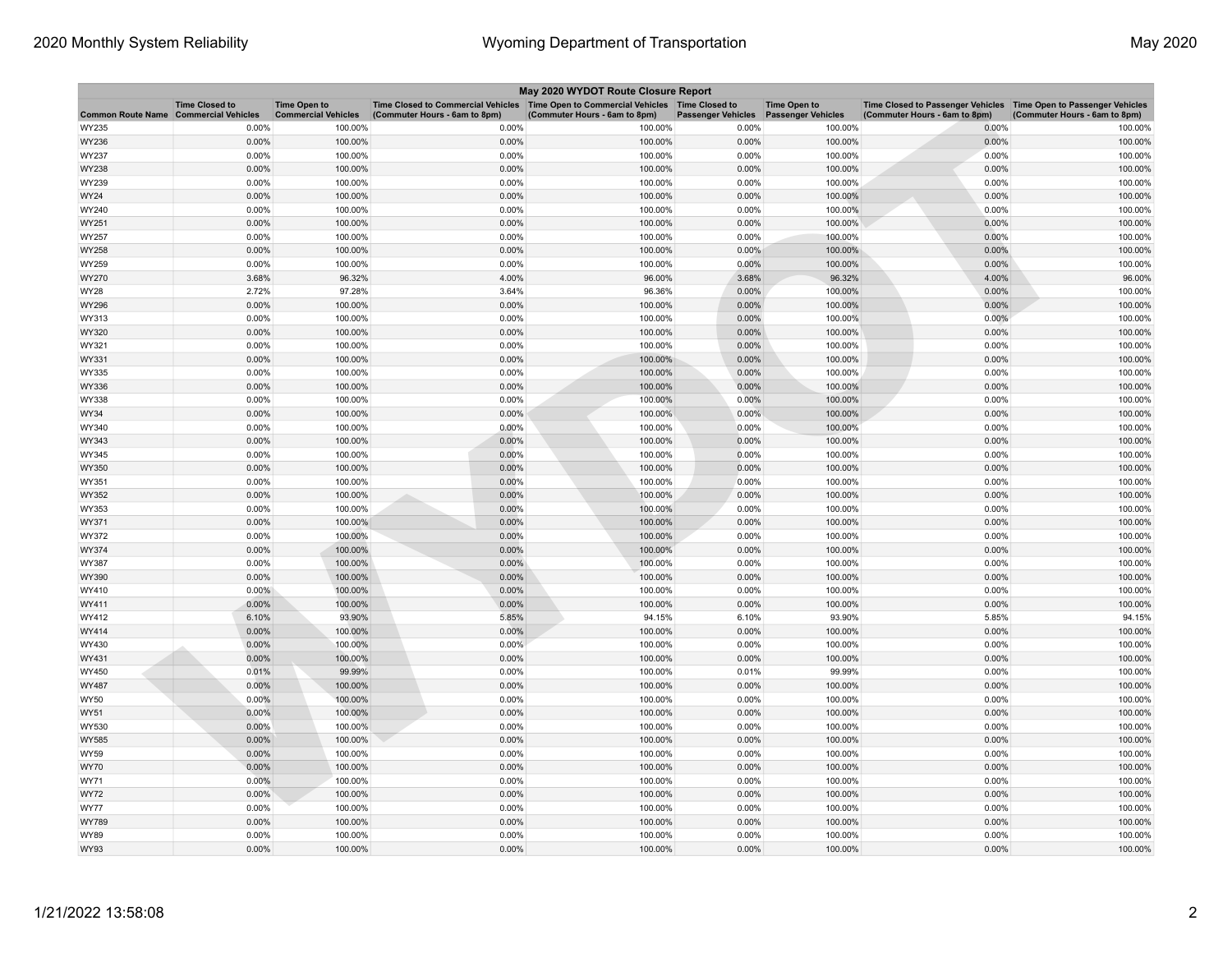| May 2020 WYDOT Route Closure Report |                                                     |                                                   |                                                                                                                         |                               |                           |                                                  |                                                                                                      |                               |  |
|-------------------------------------|-----------------------------------------------------|---------------------------------------------------|-------------------------------------------------------------------------------------------------------------------------|-------------------------------|---------------------------|--------------------------------------------------|------------------------------------------------------------------------------------------------------|-------------------------------|--|
| <b>Common Route Name</b>            | <b>Time Closed to</b><br><b>Commercial Vehicles</b> | <b>Time Open to</b><br><b>Commercial Vehicles</b> | Time Closed to Commercial Vehicles   Time Open to Commercial Vehicles   Time Closed to<br>(Commuter Hours - 6am to 8pm) | (Commuter Hours - 6am to 8pm) | <b>Passenger Vehicles</b> | <b>Time Open to</b><br><b>Passenger Vehicles</b> | Time Closed to Passenger Vehicles   Time Open to Passenger Vehicles<br>(Commuter Hours - 6am to 8pm) | (Commuter Hours - 6am to 8pm) |  |
| WY235                               | 0.00%                                               | 100.00%                                           | 0.00%                                                                                                                   | 100.00%                       | 0.00%                     | 100.00%                                          | 0.00%                                                                                                | 100.00%                       |  |
| WY236                               | 0.00%                                               | 100.00%                                           | 0.00%                                                                                                                   | 100.00%                       | 0.00%                     | 100.00%                                          | 0.00%                                                                                                | 100.00%                       |  |
| WY237                               | 0.00%                                               | 100.00%                                           | 0.00%                                                                                                                   | 100.00%                       | 0.00%                     | 100.00%                                          | 0.00%                                                                                                | 100.00%                       |  |
| WY238                               | 0.00%                                               | 100.00%                                           | 0.00%                                                                                                                   | 100.00%                       | 0.00%                     | 100.00%                                          | 0.00%                                                                                                | 100.00%                       |  |
| WY239                               | 0.00%                                               | 100.00%                                           | 0.00%                                                                                                                   | 100.00%                       | 0.00%                     | 100.00%                                          | 0.00%                                                                                                | 100.00%                       |  |
| WY24                                | 0.00%                                               | 100.00%                                           | 0.00%                                                                                                                   | 100.00%                       | 0.00%                     | 100.00%                                          | 0.00%                                                                                                | 100.00%                       |  |
| WY240                               | 0.00%                                               | 100.00%                                           | 0.00%                                                                                                                   | 100.00%                       | 0.00%                     | 100.00%                                          | 0.00%                                                                                                | 100.00%                       |  |
| WY251                               | 0.00%                                               | 100.00%                                           | 0.00%                                                                                                                   | 100.00%                       | 0.00%                     | 100.00%                                          | 0.00%                                                                                                | 100.00%                       |  |
| WY257                               | 0.00%                                               | 100.00%                                           | 0.00%                                                                                                                   | 100.00%                       | 0.00%                     | 100.00%                                          | 0.00%                                                                                                | 100.00%                       |  |
| WY258                               | 0.00%                                               | 100.00%                                           | 0.00%                                                                                                                   | 100.00%                       | 0.00%                     | 100.00%                                          | 0.00%                                                                                                | 100.00%                       |  |
| WY259                               | 0.00%                                               | 100.00%                                           | 0.00%                                                                                                                   | 100.00%                       | 0.00%                     | 100.00%                                          | 0.00%                                                                                                | 100.00%                       |  |
| WY270                               | 3.68%                                               | 96.32%                                            | 4.00%                                                                                                                   | 96.00%                        | 3.68%                     | 96.32%                                           | 4.00%                                                                                                | 96.00%                        |  |
| WY28                                | 2.72%                                               | 97.28%                                            | 3.64%                                                                                                                   | 96.36%                        | 0.00%                     | 100.00%                                          | 0.00%                                                                                                | 100.00%                       |  |
| WY296                               | 0.00%                                               | 100.00%                                           | 0.00%                                                                                                                   | 100.00%                       | 0.00%                     | 100.00%                                          | 0.00%                                                                                                | 100.00%                       |  |
| WY313                               | 0.00%                                               | 100.00%                                           | 0.00%                                                                                                                   | 100.00%                       | 0.00%                     | 100.00%                                          | 0.00%                                                                                                | 100.00%                       |  |
| WY320                               | 0.00%                                               | 100.00%                                           | 0.00%                                                                                                                   | 100.00%                       | 0.00%                     | 100.00%                                          | 0.00%                                                                                                | 100.00%                       |  |
| WY321                               | 0.00%                                               | 100.00%                                           | 0.00%                                                                                                                   | 100.00%                       | 0.00%                     | 100.00%                                          | 0.00%                                                                                                | 100.00%                       |  |
| WY331                               | 0.00%                                               | 100.00%                                           | 0.00%                                                                                                                   | 100.00%                       | 0.00%                     | 100.00%                                          | 0.00%                                                                                                | 100.00%                       |  |
| WY335                               | 0.00%                                               | 100.00%                                           | 0.00%                                                                                                                   | 100.00%                       | 0.00%                     | 100.00%                                          | 0.00%                                                                                                | 100.00%                       |  |
| WY336                               | 0.00%                                               | 100.00%                                           | 0.00%                                                                                                                   | 100.00%                       | 0.00%                     | 100.00%                                          | 0.00%                                                                                                | 100.00%                       |  |
| WY338                               | 0.00%                                               | 100.00%                                           | 0.00%                                                                                                                   | 100.00%                       | 0.00%                     | 100.00%                                          | 0.00%                                                                                                | 100.00%                       |  |
| WY34                                | 0.00%                                               | 100.00%                                           | 0.00%                                                                                                                   | 100.00%                       | 0.00%                     | 100.00%                                          | 0.00%                                                                                                | 100.00%                       |  |
| WY340                               | 0.00%                                               | 100.00%                                           | 0.00%                                                                                                                   | 100.00%                       | 0.00%                     | 100.00%                                          | 0.00%                                                                                                | 100.00%                       |  |
| WY343                               | 0.00%                                               | 100.00%                                           | 0.00%                                                                                                                   | 100.00%                       | 0.00%                     | 100.00%                                          | 0.00%                                                                                                | 100.00%                       |  |
| WY345                               | 0.00%                                               | 100.00%                                           | 0.00%                                                                                                                   | 100.00%                       | 0.00%                     | 100.00%                                          | 0.00%                                                                                                | 100.00%                       |  |
| WY350                               | 0.00%                                               | 100.00%                                           | 0.00%                                                                                                                   | 100.00%                       | 0.00%                     | 100.00%                                          | 0.00%                                                                                                | 100.00%                       |  |
| WY351                               | 0.00%                                               | 100.00%                                           | 0.00%                                                                                                                   | 100.00%                       | 0.00%                     | 100.00%                                          | 0.00%                                                                                                | 100.00%                       |  |
| WY352                               | 0.00%                                               | 100.00%                                           | 0.00%                                                                                                                   | 100.00%                       | 0.00%                     | 100.00%                                          | 0.00%                                                                                                | 100.00%                       |  |
| WY353                               | 0.00%                                               | 100.00%                                           | 0.00%                                                                                                                   | 100.00%                       | 0.00%                     | 100.00%                                          | 0.00%                                                                                                | 100.00%                       |  |
| WY371                               | 0.00%                                               | 100.00%                                           | 0.00%                                                                                                                   | 100.00%                       | 0.00%                     | 100.00%                                          | 0.00%                                                                                                | 100.00%                       |  |
| WY372                               | 0.00%                                               | 100.00%                                           | 0.00%                                                                                                                   | 100.00%                       | 0.00%                     | 100.00%                                          | 0.00%                                                                                                | 100.00%                       |  |
| WY374                               | 0.00%                                               | 100.00%                                           | 0.00%                                                                                                                   | 100.00%                       | 0.00%                     | 100.00%                                          | 0.00%                                                                                                | 100.00%                       |  |
| WY387                               | 0.00%                                               | 100.00%                                           | 0.00%                                                                                                                   | 100.00%                       | 0.00%                     | 100.00%                                          | 0.00%                                                                                                | 100.00%                       |  |
| WY390                               | 0.00%                                               | 100.00%                                           | 0.00%                                                                                                                   | 100.00%                       | 0.00%                     | 100.00%                                          | 0.00%                                                                                                | 100.00%                       |  |
| WY410                               | $0.00\%$                                            | 100.00%                                           | 0.00%                                                                                                                   | 100.00%                       | 0.00%                     | 100.00%                                          | 0.00%                                                                                                | 100.00%                       |  |
| WY411                               | 0.00%                                               | 100.00%                                           | 0.00%                                                                                                                   | 100.00%                       | 0.00%                     | 100.00%                                          | 0.00%                                                                                                | 100.00%                       |  |
| WY412                               | 6.10%                                               | 93.90%                                            | 5.85%                                                                                                                   | 94.15%                        | 6.10%                     | 93.90%                                           | 5.85%                                                                                                | 94.15%                        |  |
| WY414                               | 0.00%                                               | 100.00%                                           | 0.00%                                                                                                                   | 100.00%                       | 0.00%                     | 100.00%                                          | 0.00%                                                                                                | 100.00%                       |  |
| WY430                               | 0.00%                                               | 100.00%                                           | 0.00%                                                                                                                   | 100.00%                       | 0.00%                     | 100.00%                                          | 0.00%                                                                                                | 100.00%                       |  |
| WY431                               | 0.00%                                               | 100.00%                                           | 0.00%                                                                                                                   | 100.00%                       | 0.00%                     | 100.00%                                          | 0.00%                                                                                                | 100.00%                       |  |
| WY450                               | 0.01%                                               | 99.99%                                            | 0.00%                                                                                                                   | 100.00%                       | 0.01%                     | 99.99%                                           | 0.00%                                                                                                | 100.00%                       |  |
| WY487                               | 0.00%                                               | 100.00%                                           | 0.00%                                                                                                                   | 100.00%                       | 0.00%                     | 100.00%                                          | 0.00%                                                                                                | 100.00%                       |  |
| WY50                                | 0.00%                                               | 100.00%                                           | 0.00%                                                                                                                   | 100.00%                       | 0.00%                     | 100.00%                                          | 0.00%                                                                                                | 100.00%                       |  |
| WY51                                | 0.00%                                               | 100.00%                                           | 0.00%                                                                                                                   | 100.00%                       | 0.00%                     | 100.00%                                          | $0.00\%$                                                                                             | 100.00%                       |  |
| WY530                               | 0.00%                                               | 100.00%                                           | 0.00%                                                                                                                   | 100.00%                       | 0.00%                     | 100.00%                                          | 0.00%                                                                                                | 100.00%                       |  |
| WY585                               | 0.00%                                               | 100.00%                                           | 0.00%                                                                                                                   | 100.00%                       | 0.00%                     | 100.00%                                          | 0.00%                                                                                                | 100.00%                       |  |
| WY59                                | 0.00%                                               | 100.00%                                           | 0.00%                                                                                                                   | 100.00%                       | 0.00%                     | 100.00%                                          | 0.00%                                                                                                | 100.00%                       |  |
| WY70                                | 0.00%                                               | 100.00%                                           | 0.00%                                                                                                                   | 100.00%                       | 0.00%                     | 100.00%                                          | 0.00%                                                                                                | 100.00%                       |  |
| WY71                                | 0.00%                                               | 100.00%                                           | 0.00%                                                                                                                   | 100.00%                       | 0.00%                     | 100.00%                                          | 0.00%                                                                                                | 100.00%                       |  |
| WY72                                | 0.00%                                               | 100.00%                                           | 0.00%                                                                                                                   | 100.00%                       | 0.00%                     | 100.00%                                          | 0.00%                                                                                                | 100.00%                       |  |
| WY77                                | 0.00%                                               | 100.00%                                           | 0.00%                                                                                                                   | 100.00%                       | 0.00%                     | 100.00%                                          | 0.00%                                                                                                | 100.00%                       |  |
| WY789                               | 0.00%                                               | 100.00%                                           | 0.00%                                                                                                                   | 100.00%                       | 0.00%                     | 100.00%                                          | 0.00%                                                                                                | 100.00%                       |  |
| WY89                                | 0.00%                                               | 100.00%                                           | 0.00%                                                                                                                   | 100.00%                       | 0.00%                     | 100.00%                                          | 0.00%                                                                                                | 100.00%                       |  |
| WY93                                | 0.00%                                               | 100.00%                                           | 0.00%                                                                                                                   | 100.00%                       | 0.00%                     | 100.00%                                          | 0.00%                                                                                                | 100.00%                       |  |